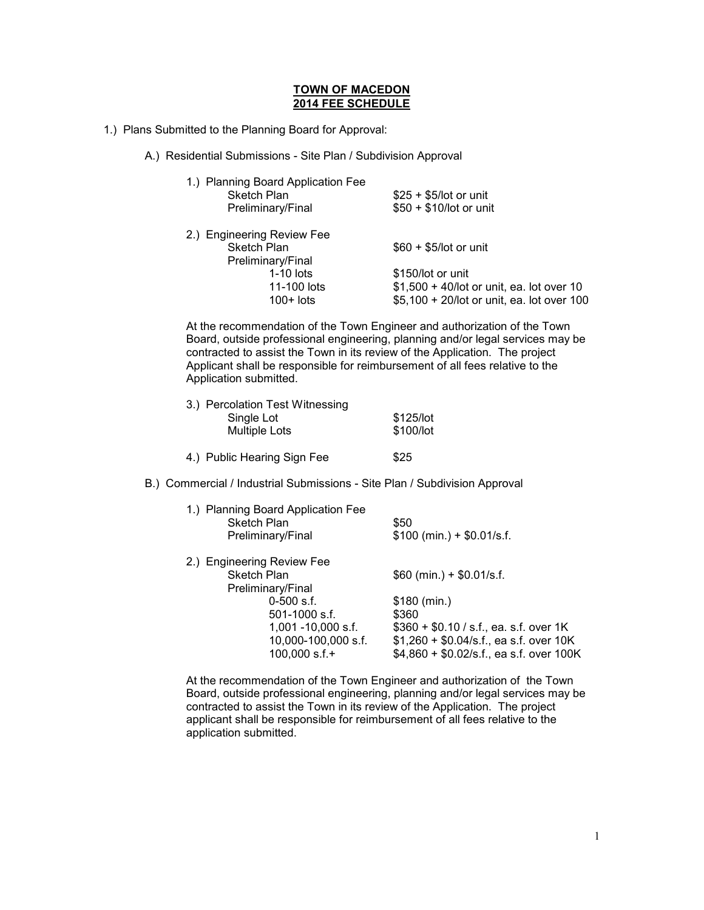## **TOWN OF MACEDON 2014 FEE SCHEDULE**

- 1.) Plans Submitted to the Planning Board for Approval:
	- A.) Residential Submissions Site Plan / Subdivision Approval

| 1.) Planning Board Application Fee<br><b>Sketch Plan</b><br>Preliminary/Final | $$25 + $5/$ lot or unit<br>\$50 + \$10/lot or unit |
|-------------------------------------------------------------------------------|----------------------------------------------------|
| 2.) Engineering Review Fee                                                    |                                                    |
| Sketch Plan                                                                   | $$60 + $5/$ lot or unit                            |
| Preliminary/Final                                                             |                                                    |
| $1-10$ lots                                                                   | \$150/lot or unit                                  |
| 11-100 lots                                                                   | $$1,500 + 40$ /lot or unit, ea. lot over 10        |
| $100+$ lots                                                                   | \$5,100 + 20/lot or unit, ea. lot over 100         |

At the recommendation of the Town Engineer and authorization of the Town Board, outside professional engineering, planning and/or legal services may be contracted to assist the Town in its review of the Application. The project Applicant shall be responsible for reimbursement of all fees relative to the Application submitted.

| 3.) Percolation Test Witnessing |                        |
|---------------------------------|------------------------|
| Single Lot                      | \$125/lot              |
| Multiple Lots                   | \$100/lot              |
|                                 | $\wedge$ $\sim$ $\sim$ |

|  | 4.) Public Hearing Sign Fee | \$25 |
|--|-----------------------------|------|
|--|-----------------------------|------|

B.) Commercial / Industrial Submissions - Site Plan / Subdivision Approval

| Sketch Plan                | 1.) Planning Board Application Fee<br>Preliminary/Final | \$50<br>$$100$ (min.) + \$0.01/s.f.                                                 |
|----------------------------|---------------------------------------------------------|-------------------------------------------------------------------------------------|
| 2.) Engineering Review Fee |                                                         |                                                                                     |
| Sketch Plan                |                                                         | $$60$ (min.) + \$0.01/s.f.                                                          |
|                            | Preliminary/Final                                       |                                                                                     |
|                            | $0-500$ s.f.                                            | \$180 (min.)                                                                        |
|                            | $501-1000$ s.f.                                         | \$360                                                                               |
|                            | $1,001 - 10,000$ s.f.                                   | $$360 + $0.10 / s.f., ea.s.f. over 1K$                                              |
|                            | 10,000-100,000 s.f.<br>$100,000$ s.f.+                  | $$1,260 + $0.04/s.f.,$ ea s.f. over 10K<br>$$4,860 + $0.02/s.f.,$ ea s.f. over 100K |
|                            |                                                         |                                                                                     |

At the recommendation of the Town Engineer and authorization of the Town Board, outside professional engineering, planning and/or legal services may be contracted to assist the Town in its review of the Application. The project applicant shall be responsible for reimbursement of all fees relative to the application submitted.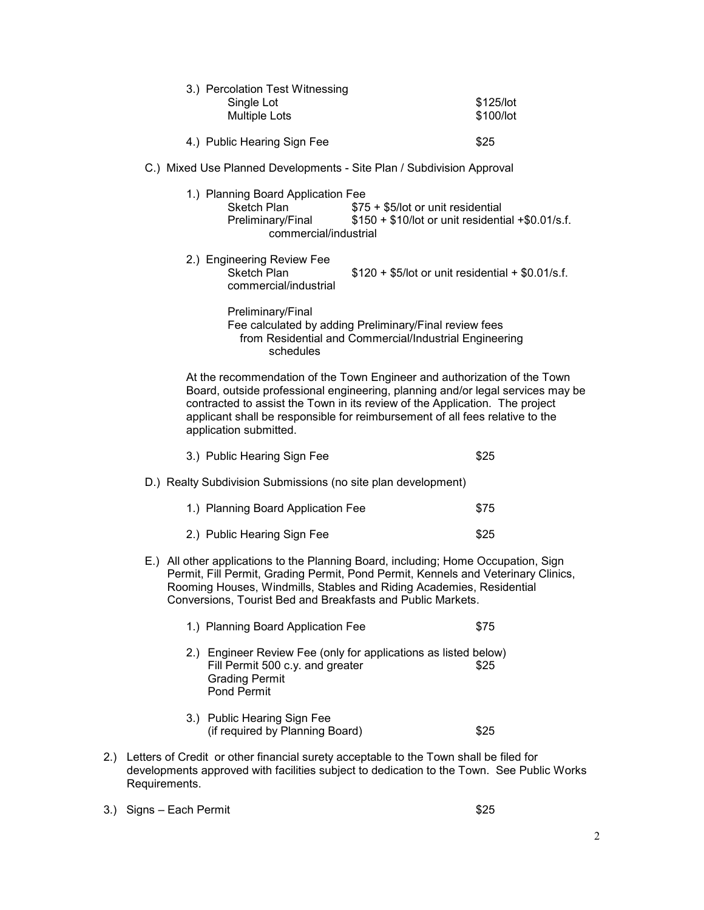|     | 3.) Percolation Test Witnessing<br>Single Lot<br><b>Multiple Lots</b>                                                                                                                                                                                                                                                                               |                                                                                                                  | \$125/lot<br>\$100/lot |
|-----|-----------------------------------------------------------------------------------------------------------------------------------------------------------------------------------------------------------------------------------------------------------------------------------------------------------------------------------------------------|------------------------------------------------------------------------------------------------------------------|------------------------|
|     | 4.) Public Hearing Sign Fee                                                                                                                                                                                                                                                                                                                         |                                                                                                                  | \$25                   |
|     | C.) Mixed Use Planned Developments - Site Plan / Subdivision Approval                                                                                                                                                                                                                                                                               |                                                                                                                  |                        |
|     | 1.) Planning Board Application Fee<br><b>Sketch Plan</b><br>Preliminary/Final<br>commercial/industrial                                                                                                                                                                                                                                              | \$75 + \$5/lot or unit residential<br>$$150 + $10$ /lot or unit residential +\$0.01/s.f.                         |                        |
|     | 2.) Engineering Review Fee<br>Sketch Plan<br>commercial/industrial                                                                                                                                                                                                                                                                                  | $$120 + $5/$ lot or unit residential + \$0.01/s.f.                                                               |                        |
|     | Preliminary/Final<br>schedules                                                                                                                                                                                                                                                                                                                      | Fee calculated by adding Preliminary/Final review fees<br>from Residential and Commercial/Industrial Engineering |                        |
|     | At the recommendation of the Town Engineer and authorization of the Town<br>Board, outside professional engineering, planning and/or legal services may be<br>contracted to assist the Town in its review of the Application. The project<br>applicant shall be responsible for reimbursement of all fees relative to the<br>application submitted. |                                                                                                                  |                        |
|     | 3.) Public Hearing Sign Fee                                                                                                                                                                                                                                                                                                                         |                                                                                                                  | \$25                   |
|     | D.) Realty Subdivision Submissions (no site plan development)                                                                                                                                                                                                                                                                                       |                                                                                                                  |                        |
|     | 1.) Planning Board Application Fee                                                                                                                                                                                                                                                                                                                  |                                                                                                                  | \$75                   |
|     | 2.) Public Hearing Sign Fee                                                                                                                                                                                                                                                                                                                         |                                                                                                                  | \$25                   |
|     | E.) All other applications to the Planning Board, including; Home Occupation, Sign<br>Permit, Fill Permit, Grading Permit, Pond Permit, Kennels and Veterinary Clinics,<br>Rooming Houses, Windmills, Stables and Riding Academies, Residential<br>Conversions, Tourist Bed and Breakfasts and Public Markets.                                      |                                                                                                                  |                        |
|     | 1.) Planning Board Application Fee                                                                                                                                                                                                                                                                                                                  |                                                                                                                  | \$75                   |
|     | 2.) Engineer Review Fee (only for applications as listed below)<br>Fill Permit 500 c.y. and greater<br><b>Grading Permit</b><br>Pond Permit                                                                                                                                                                                                         |                                                                                                                  | \$25                   |
|     | 3.) Public Hearing Sign Fee<br>(if required by Planning Board)                                                                                                                                                                                                                                                                                      |                                                                                                                  | \$25                   |
| 2.) | Letters of Credit or other financial surety acceptable to the Town shall be filed for<br>developments approved with facilities subject to dedication to the Town. See Public Works<br>Requirements.                                                                                                                                                 |                                                                                                                  |                        |

3.) Signs – Each Permit \$25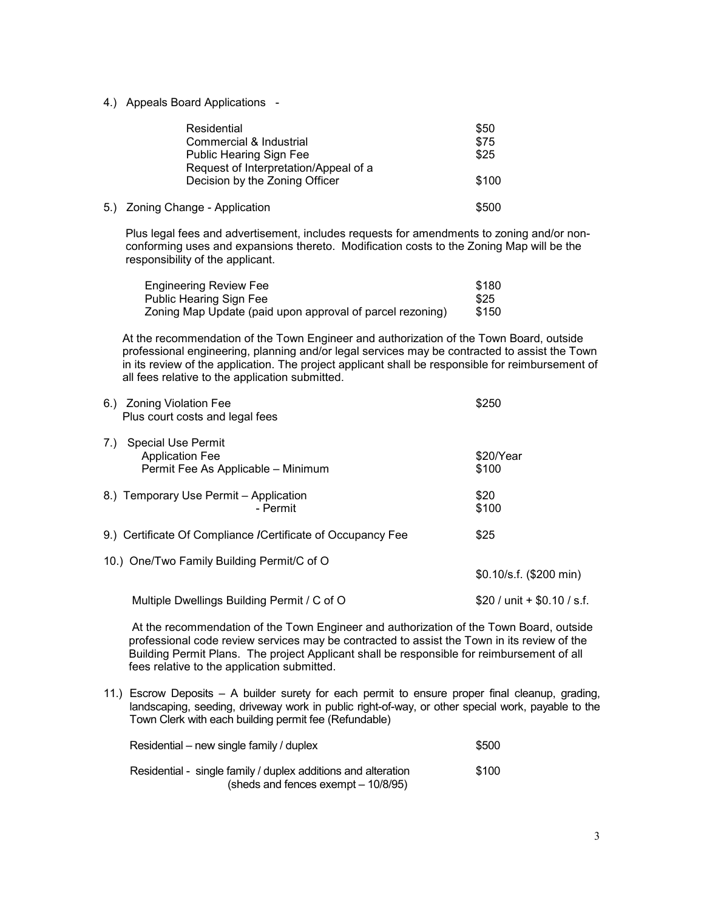4.) Appeals Board Applications -

| Residential                           | \$50  |
|---------------------------------------|-------|
| Commercial & Industrial               | \$75  |
| <b>Public Hearing Sign Fee</b>        | \$25  |
| Request of Interpretation/Appeal of a |       |
| Decision by the Zoning Officer        | \$100 |
|                                       |       |
| 5.) Zoning Change - Application       | \$500 |

 Plus legal fees and advertisement, includes requests for amendments to zoning and/or non conforming uses and expansions thereto. Modification costs to the Zoning Map will be the responsibility of the applicant.

| <b>Engineering Review Fee</b>                             | \$180 |
|-----------------------------------------------------------|-------|
| <b>Public Hearing Sign Fee</b>                            | \$25  |
| Zoning Map Update (paid upon approval of parcel rezoning) | \$150 |

 At the recommendation of the Town Engineer and authorization of the Town Board, outside professional engineering, planning and/or legal services may be contracted to assist the Town in its review of the application. The project applicant shall be responsible for reimbursement of all fees relative to the application submitted.

| 6.) Zoning Violation Fee<br>Plus court costs and legal fees                               | \$250                       |
|-------------------------------------------------------------------------------------------|-----------------------------|
| Special Use Permit<br>7.)<br><b>Application Fee</b><br>Permit Fee As Applicable - Minimum | \$20/Year<br>\$100          |
| 8.) Temporary Use Permit – Application<br>- Permit                                        | \$20<br>\$100               |
| 9.) Certificate Of Compliance / Certificate of Occupancy Fee                              | \$25                        |
| 10.) One/Two Family Building Permit/C of O                                                | $$0.10/s.f.$ (\$200 min)    |
| Multiple Dwellings Building Permit / C of O                                               | \$20 / unit + \$0.10 / s.f. |

 At the recommendation of the Town Engineer and authorization of the Town Board, outside professional code review services may be contracted to assist the Town in its review of the Building Permit Plans. The project Applicant shall be responsible for reimbursement of all fees relative to the application submitted.

11.) Escrow Deposits – A builder surety for each permit to ensure proper final cleanup, grading, landscaping, seeding, driveway work in public right-of-way, or other special work, payable to the Town Clerk with each building permit fee (Refundable)

| Residential – new single family / duplex                                                             | \$500 |
|------------------------------------------------------------------------------------------------------|-------|
| Residential - single family / duplex additions and alteration<br>(sheds and fences exempt – 10/8/95) | \$100 |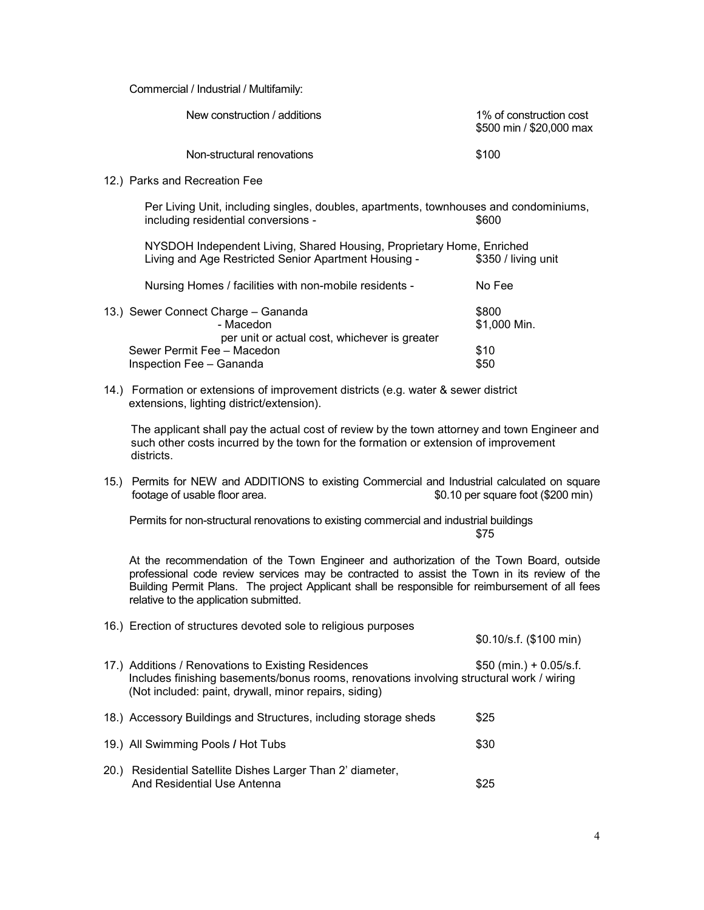Commercial / Industrial / Multifamily:

| New construction / additions | 1% of construction cost<br>\$500 min / \$20,000 max |
|------------------------------|-----------------------------------------------------|
| Non-structural renovations   | \$100                                               |

12.) Parks and Recreation Fee

Per Living Unit, including singles, doubles, apartments, townhouses and condominiums, including residential conversions -  $$600$ 

 NYSDOH Independent Living, Shared Housing, Proprietary Home, Enriched Living and Age Restricted Senior Apartment Housing - \$350 / living unit

| Nursing Homes / facilities with non-mobile residents - | No Fee       |
|--------------------------------------------------------|--------------|
| 13.) Sewer Connect Charge - Gananda                    | \$800        |
| - Macedon                                              | \$1,000 Min. |
| per unit or actual cost, whichever is greater          |              |
| Sewer Permit Fee - Macedon                             | \$10         |
| Inspection Fee - Gananda                               | \$50         |

14.) Formation or extensions of improvement districts (e.g. water & sewer district extensions, lighting district/extension).

The applicant shall pay the actual cost of review by the town attorney and town Engineer and such other costs incurred by the town for the formation or extension of improvement districts.

15.) Permits for NEW and ADDITIONS to existing Commercial and Industrial calculated on square footage of usable floor area. \$0.10 per square foot (\$200 min)

 Permits for non-structural renovations to existing commercial and industrial buildings **\$75** 

At the recommendation of the Town Engineer and authorization of the Town Board, outside professional code review services may be contracted to assist the Town in its review of the Building Permit Plans. The project Applicant shall be responsible for reimbursement of all fees relative to the application submitted.

16.) Erection of structures devoted sole to religious purposes

\$0.10/s.f. (\$100 min)

- 17.) Additions / Renovations to Existing Residences  $$50$  (min.) + 0.05/s.f. Includes finishing basements/bonus rooms, renovations involving structural work / wiring (Not included: paint, drywall, minor repairs, siding)
- 18.) Accessory Buildings and Structures, including storage sheds \$25 19.) All Swimming Pools / Hot Tubs **\$30** 20.) Residential Satellite Dishes Larger Than 2' diameter, And Residential Use Antenna **Figure 2018** 825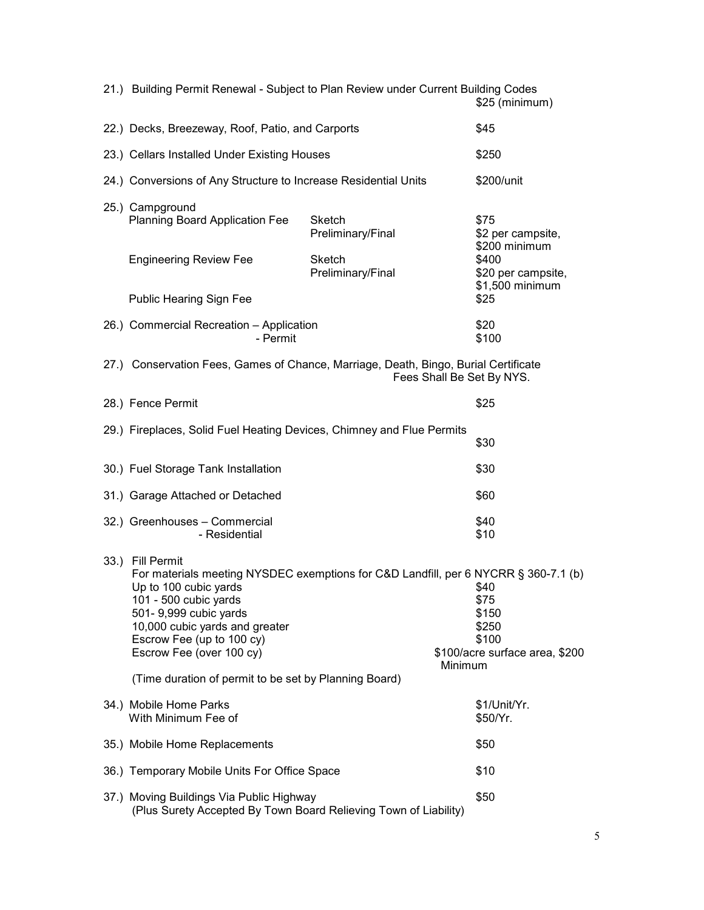|      | 21.) Building Permit Renewal - Subject to Plan Review under Current Building Codes<br>\$25 (minimum)                                                                                                                                                                             |                             |         |                                                                           |
|------|----------------------------------------------------------------------------------------------------------------------------------------------------------------------------------------------------------------------------------------------------------------------------------|-----------------------------|---------|---------------------------------------------------------------------------|
|      | 22.) Decks, Breezeway, Roof, Patio, and Carports                                                                                                                                                                                                                                 |                             | \$45    |                                                                           |
|      | 23.) Cellars Installed Under Existing Houses                                                                                                                                                                                                                                     |                             |         | \$250                                                                     |
|      | 24.) Conversions of Any Structure to Increase Residential Units                                                                                                                                                                                                                  |                             |         | \$200/unit                                                                |
|      | 25.) Campground<br>Planning Board Application Fee                                                                                                                                                                                                                                | Sketch<br>Preliminary/Final |         | \$75<br>\$2 per campsite,<br>\$200 minimum                                |
|      | <b>Engineering Review Fee</b>                                                                                                                                                                                                                                                    | Sketch<br>Preliminary/Final |         | \$400<br>\$20 per campsite,<br>\$1,500 minimum                            |
|      | <b>Public Hearing Sign Fee</b>                                                                                                                                                                                                                                                   |                             |         | \$25                                                                      |
|      | 26.) Commercial Recreation - Application<br>- Permit                                                                                                                                                                                                                             |                             |         | \$20<br>\$100                                                             |
|      | 27.) Conservation Fees, Games of Chance, Marriage, Death, Bingo, Burial Certificate<br>Fees Shall Be Set By NYS.                                                                                                                                                                 |                             |         |                                                                           |
|      | 28.) Fence Permit                                                                                                                                                                                                                                                                |                             |         | \$25                                                                      |
|      | 29.) Fireplaces, Solid Fuel Heating Devices, Chimney and Flue Permits                                                                                                                                                                                                            |                             |         | \$30                                                                      |
|      | 30.) Fuel Storage Tank Installation                                                                                                                                                                                                                                              |                             |         | \$30                                                                      |
|      | 31.) Garage Attached or Detached                                                                                                                                                                                                                                                 |                             |         | \$60                                                                      |
|      | 32.) Greenhouses - Commercial<br>- Residential                                                                                                                                                                                                                                   |                             |         | \$40<br>\$10                                                              |
| 33.) | <b>Fill Permit</b><br>For materials meeting NYSDEC exemptions for C&D Landfill, per 6 NYCRR § 360-7.1 (b)<br>Up to 100 cubic yards<br>101 - 500 cubic yards<br>501- 9,999 cubic yards<br>10,000 cubic yards and greater<br>Escrow Fee (up to 100 cy)<br>Escrow Fee (over 100 cy) |                             | Minimum | \$40<br>\$75<br>\$150<br>\$250<br>\$100<br>\$100/acre surface area, \$200 |
|      | (Time duration of permit to be set by Planning Board)                                                                                                                                                                                                                            |                             |         |                                                                           |
|      | 34.) Mobile Home Parks<br>With Minimum Fee of                                                                                                                                                                                                                                    |                             |         | \$1/Unit/Yr.<br>\$50/Yr.                                                  |
|      | 35.) Mobile Home Replacements                                                                                                                                                                                                                                                    |                             |         | \$50                                                                      |
|      | 36.) Temporary Mobile Units For Office Space                                                                                                                                                                                                                                     |                             |         | \$10                                                                      |
|      | 37.) Moving Buildings Via Public Highway<br>(Plus Surety Accepted By Town Board Relieving Town of Liability)                                                                                                                                                                     |                             |         | \$50                                                                      |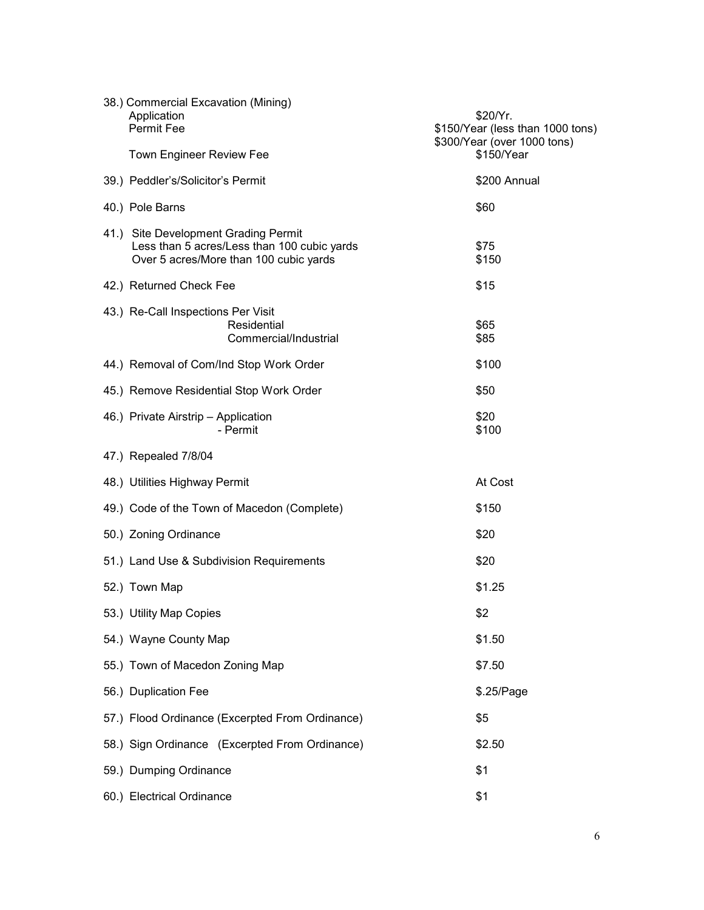| 38.) Commercial Excavation (Mining)<br>Application<br>Permit Fee<br><b>Town Engineer Review Fee</b>                           | \$20/Yr.<br>\$150/Year (less than 1000 tons)<br>\$300/Year (over 1000 tons)<br>\$150/Year |
|-------------------------------------------------------------------------------------------------------------------------------|-------------------------------------------------------------------------------------------|
| 39.) Peddler's/Solicitor's Permit                                                                                             | \$200 Annual                                                                              |
| 40.) Pole Barns                                                                                                               | \$60                                                                                      |
| 41.) Site Development Grading Permit<br>Less than 5 acres/Less than 100 cubic yards<br>Over 5 acres/More than 100 cubic yards | \$75<br>\$150                                                                             |
| 42.) Returned Check Fee                                                                                                       | \$15                                                                                      |
| 43.) Re-Call Inspections Per Visit<br>Residential<br>Commercial/Industrial                                                    | \$65<br>\$85                                                                              |
| 44.) Removal of Com/Ind Stop Work Order                                                                                       | \$100                                                                                     |
| 45.) Remove Residential Stop Work Order                                                                                       | \$50                                                                                      |
| 46.) Private Airstrip - Application<br>- Permit                                                                               | \$20<br>\$100                                                                             |
| 47.) Repealed 7/8/04                                                                                                          |                                                                                           |
| 48.) Utilities Highway Permit                                                                                                 | At Cost                                                                                   |
| 49.) Code of the Town of Macedon (Complete)                                                                                   | \$150                                                                                     |
| 50.) Zoning Ordinance                                                                                                         | \$20                                                                                      |
| 51.) Land Use & Subdivision Requirements                                                                                      | \$20                                                                                      |
| 52.) Town Map                                                                                                                 | \$1.25                                                                                    |
| 53.) Utility Map Copies                                                                                                       | \$2                                                                                       |
| 54.) Wayne County Map                                                                                                         | \$1.50                                                                                    |
| 55.) Town of Macedon Zoning Map                                                                                               | \$7.50                                                                                    |
| 56.) Duplication Fee                                                                                                          | \$.25/Page                                                                                |
| 57.) Flood Ordinance (Excerpted From Ordinance)                                                                               | \$5                                                                                       |
| 58.) Sign Ordinance (Excerpted From Ordinance)                                                                                | \$2.50                                                                                    |
| 59.) Dumping Ordinance                                                                                                        | \$1                                                                                       |
| 60.) Electrical Ordinance                                                                                                     | \$1                                                                                       |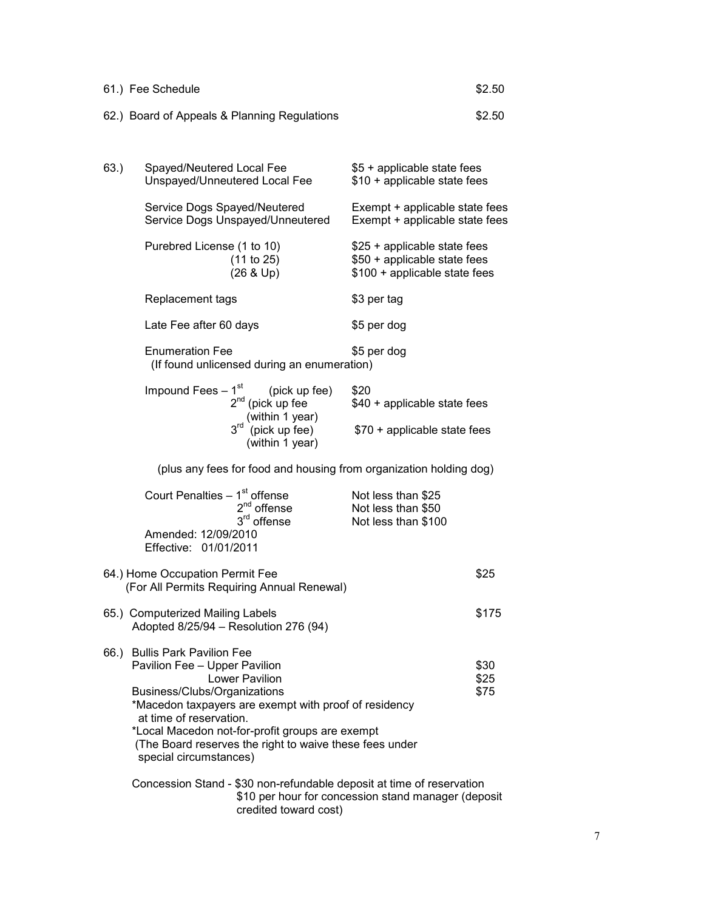| 61.) Fee Schedule                            | \$2.50 |
|----------------------------------------------|--------|
| 62.) Board of Appeals & Planning Regulations | \$2.50 |

| 63.) | Spayed/Neutered Local Fee<br>Unspayed/Unneutered Local Fee                                                                                                                                                                                                                                                                                   | \$5 + applicable state fees<br>\$10 + applicable state fees                                   |                      |
|------|----------------------------------------------------------------------------------------------------------------------------------------------------------------------------------------------------------------------------------------------------------------------------------------------------------------------------------------------|-----------------------------------------------------------------------------------------------|----------------------|
|      | Service Dogs Spayed/Neutered<br>Service Dogs Unspayed/Unneutered                                                                                                                                                                                                                                                                             | Exempt + applicable state fees<br>Exempt + applicable state fees                              |                      |
|      | Purebred License (1 to 10)<br>(11 to 25)<br>(26 & Up)                                                                                                                                                                                                                                                                                        | \$25 + applicable state fees<br>\$50 + applicable state fees<br>\$100 + applicable state fees |                      |
|      | Replacement tags                                                                                                                                                                                                                                                                                                                             | \$3 per tag                                                                                   |                      |
|      | Late Fee after 60 days                                                                                                                                                                                                                                                                                                                       | \$5 per dog                                                                                   |                      |
|      | <b>Enumeration Fee</b><br>(If found unlicensed during an enumeration)                                                                                                                                                                                                                                                                        | \$5 per dog                                                                                   |                      |
|      | Impound Fees – $1^{st}$ (pick up<br>2 <sup>nd</sup> (pick up fee<br>(pick up fee)                                                                                                                                                                                                                                                            | \$20<br>\$40 + applicable state fees                                                          |                      |
|      | (within 1 year)<br>3 <sup>rd</sup> (pick up fee)<br>(within 1 year)                                                                                                                                                                                                                                                                          | \$70 + applicable state fees                                                                  |                      |
|      | (plus any fees for food and housing from organization holding dog)                                                                                                                                                                                                                                                                           |                                                                                               |                      |
|      | Court Penalties – $1st$ offense<br>2 <sup>nd</sup> offense<br>3 <sup>rd</sup> offense<br>Amended: 12/09/2010<br>Effective: 01/01/2011                                                                                                                                                                                                        | Not less than \$25<br>Not less than \$50<br>Not less than \$100                               |                      |
|      | 64.) Home Occupation Permit Fee<br>(For All Permits Requiring Annual Renewal)                                                                                                                                                                                                                                                                |                                                                                               | \$25                 |
|      | 65.) Computerized Mailing Labels<br>Adopted 8/25/94 - Resolution 276 (94)                                                                                                                                                                                                                                                                    |                                                                                               | \$175                |
|      | 66.) Bullis Park Pavilion Fee<br>Pavilion Fee - Upper Pavilion<br>Lower Pavilion<br>Business/Clubs/Organizations<br>*Macedon taxpayers are exempt with proof of residency<br>at time of reservation.<br>*Local Macedon not-for-profit groups are exempt<br>(The Board reserves the right to waive these fees under<br>special circumstances) |                                                                                               | \$30<br>\$25<br>\$75 |
|      | Concession Stand - \$30 non-refundable deposit at time of reservation                                                                                                                                                                                                                                                                        | \$10 per hour for concession stand manager (deposit                                           |                      |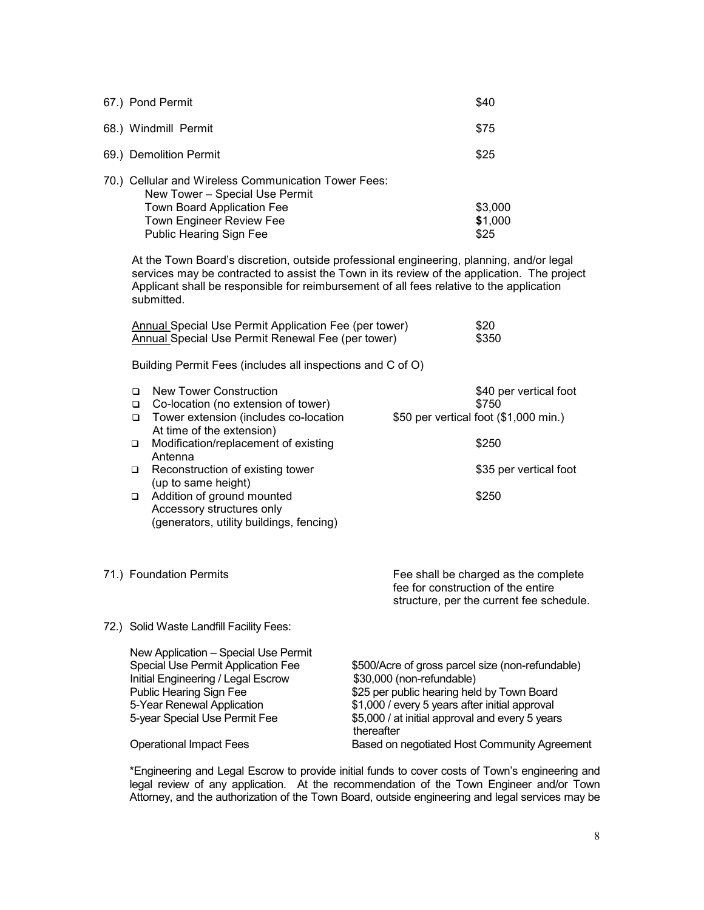| \$40<br>67.) Pond Permit                                                                        |                                                                                                                                                                                                                                                                                |                                                                                                                                                                                                                                                |      |                                                                                                                        |
|-------------------------------------------------------------------------------------------------|--------------------------------------------------------------------------------------------------------------------------------------------------------------------------------------------------------------------------------------------------------------------------------|------------------------------------------------------------------------------------------------------------------------------------------------------------------------------------------------------------------------------------------------|------|------------------------------------------------------------------------------------------------------------------------|
| 68.) Windmill Permit                                                                            |                                                                                                                                                                                                                                                                                |                                                                                                                                                                                                                                                | \$75 |                                                                                                                        |
|                                                                                                 | 69.) Demolition Permit                                                                                                                                                                                                                                                         |                                                                                                                                                                                                                                                |      | \$25                                                                                                                   |
|                                                                                                 | 70.) Cellular and Wireless Communication Tower Fees:<br>New Tower - Special Use Permit<br>Town Board Application Fee<br><b>Town Engineer Review Fee</b><br>Public Hearing Sign Fee<br>At the Town Board's discretion, outside professional engineering, planning, and/or legal |                                                                                                                                                                                                                                                |      | \$3,000<br>\$1,000<br>\$25                                                                                             |
|                                                                                                 | submitted.                                                                                                                                                                                                                                                                     | services may be contracted to assist the Town in its review of the application. The project<br>Applicant shall be responsible for reimbursement of all fees relative to the application                                                        |      |                                                                                                                        |
|                                                                                                 | Annual Special Use Permit Application Fee (per tower)<br><b>Annual Special Use Permit Renewal Fee (per tower)</b>                                                                                                                                                              |                                                                                                                                                                                                                                                |      | \$20<br>\$350                                                                                                          |
| Building Permit Fees (includes all inspections and C of O)                                      |                                                                                                                                                                                                                                                                                |                                                                                                                                                                                                                                                |      |                                                                                                                        |
| □<br>$\Box$<br>$\Box$                                                                           | <b>New Tower Construction</b><br>Co-location (no extension of tower)<br>Tower extension (includes co-location<br>At time of the extension)                                                                                                                                     |                                                                                                                                                                                                                                                |      | \$40 per vertical foot<br>\$750<br>\$50 per vertical foot (\$1,000 min.)                                               |
| $\Box$                                                                                          | Modification/replacement of existing<br>Antenna                                                                                                                                                                                                                                |                                                                                                                                                                                                                                                |      | \$250                                                                                                                  |
| $\Box$                                                                                          | Reconstruction of existing tower<br>(up to same height)                                                                                                                                                                                                                        |                                                                                                                                                                                                                                                |      | \$35 per vertical foot                                                                                                 |
| $\Box$                                                                                          | Addition of ground mounted<br>Accessory structures only<br>(generators, utility buildings, fencing)                                                                                                                                                                            |                                                                                                                                                                                                                                                |      | \$250                                                                                                                  |
|                                                                                                 | 71.) Foundation Permits                                                                                                                                                                                                                                                        |                                                                                                                                                                                                                                                |      | Fee shall be charged as the complete<br>fee for construction of the entire<br>structure, per the current fee schedule. |
|                                                                                                 | 72.) Solid Waste Landfill Facility Fees:                                                                                                                                                                                                                                       |                                                                                                                                                                                                                                                |      |                                                                                                                        |
|                                                                                                 | New Application - Special Use Permit<br>Special Use Permit Application Fee<br>Initial Engineering / Legal Escrow<br>Public Hearing Sign Fee<br>5-Year Renewal Application<br>5-year Special Use Permit Fee                                                                     | \$500/Acre of gross parcel size (non-refundable)<br>\$30,000 (non-refundable)<br>\$25 per public hearing held by Town Board<br>\$1,000 / every 5 years after initial approval<br>\$5,000 / at initial approval and every 5 years<br>thereafter |      |                                                                                                                        |
|                                                                                                 | <b>Operational Impact Fees</b><br>Based on negotiated Host Community Agreement                                                                                                                                                                                                 |                                                                                                                                                                                                                                                |      |                                                                                                                        |
| *Engineering and Legal Escrow to provide initial funds to cover costs of Town's engineering and |                                                                                                                                                                                                                                                                                |                                                                                                                                                                                                                                                |      |                                                                                                                        |

legal review of any application. At the recommendation of the Town Engineer and/or Town Attorney, and the authorization of the Town Board, outside engineering and legal services may be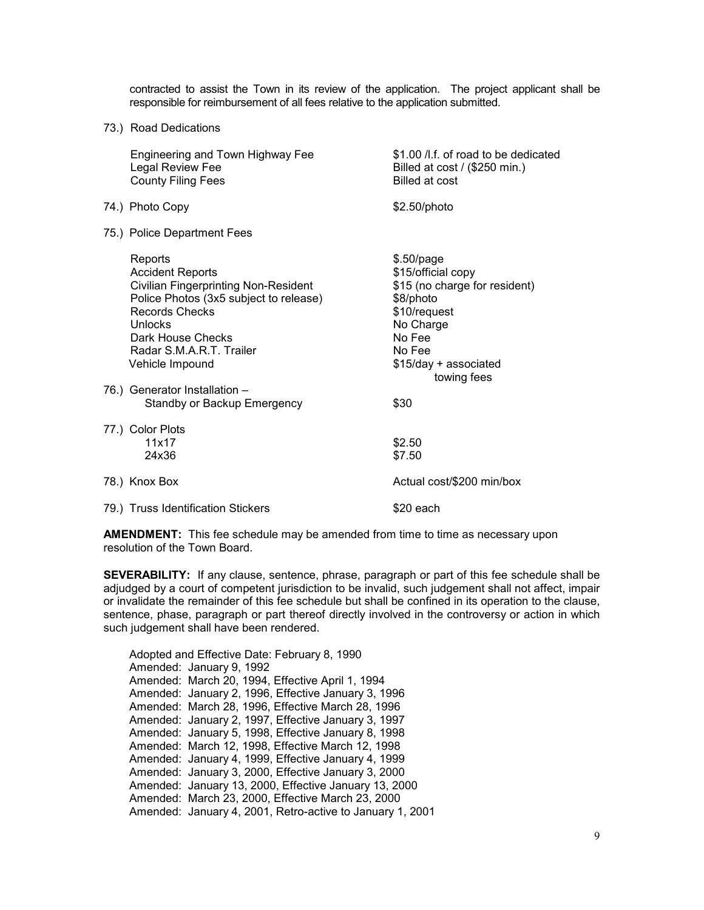contracted to assist the Town in its review of the application. The project applicant shall be responsible for reimbursement of all fees relative to the application submitted.

73.) Road Dedications

| Engineering and Town Highway Fee<br>Legal Review Fee<br><b>County Filing Fees</b>                                                                                                                                                                                    | \$1.00 /l.f. of road to be dedicated<br>Billed at cost / (\$250 min.)<br>Billed at cost                                                                                   |
|----------------------------------------------------------------------------------------------------------------------------------------------------------------------------------------------------------------------------------------------------------------------|---------------------------------------------------------------------------------------------------------------------------------------------------------------------------|
| 74.) Photo Copy                                                                                                                                                                                                                                                      | \$2.50/photo                                                                                                                                                              |
| 75.) Police Department Fees                                                                                                                                                                                                                                          |                                                                                                                                                                           |
| Reports<br><b>Accident Reports</b><br><b>Civilian Fingerprinting Non-Resident</b><br>Police Photos (3x5 subject to release)<br><b>Records Checks</b><br>Unlocks<br>Dark House Checks<br>Radar S.M.A.R.T. Trailer<br>Vehicle Impound<br>76.) Generator Installation - | $$.50$ /page<br>\$15/official copy<br>\$15 (no charge for resident)<br>\$8/photo<br>\$10/request<br>No Charge<br>No Fee<br>No Fee<br>\$15/day + associated<br>towing fees |
| Standby or Backup Emergency                                                                                                                                                                                                                                          | \$30                                                                                                                                                                      |
| 77.) Color Plots<br>11x17<br>24x36                                                                                                                                                                                                                                   | \$2.50<br>\$7.50                                                                                                                                                          |
| 78.) Knox Box                                                                                                                                                                                                                                                        | Actual cost/\$200 min/box                                                                                                                                                 |
| 79.) Truss Identification Stickers                                                                                                                                                                                                                                   | \$20 each                                                                                                                                                                 |

**AMENDMENT:** This fee schedule may be amended from time to time as necessary upon resolution of the Town Board.

**SEVERABILITY:** If any clause, sentence, phrase, paragraph or part of this fee schedule shall be adjudged by a court of competent jurisdiction to be invalid, such judgement shall not affect, impair or invalidate the remainder of this fee schedule but shall be confined in its operation to the clause, sentence, phase, paragraph or part thereof directly involved in the controversy or action in which such judgement shall have been rendered.

Adopted and Effective Date: February 8, 1990 Amended: January 9, 1992 Amended: March 20, 1994, Effective April 1, 1994 Amended: January 2, 1996, Effective January 3, 1996 Amended: March 28, 1996, Effective March 28, 1996 Amended: January 2, 1997, Effective January 3, 1997 Amended: January 5, 1998, Effective January 8, 1998 Amended: March 12, 1998, Effective March 12, 1998 Amended: January 4, 1999, Effective January 4, 1999 Amended: January 3, 2000, Effective January 3, 2000 Amended: January 13, 2000, Effective January 13, 2000 Amended: March 23, 2000, Effective March 23, 2000 Amended: January 4, 2001, Retro-active to January 1, 2001